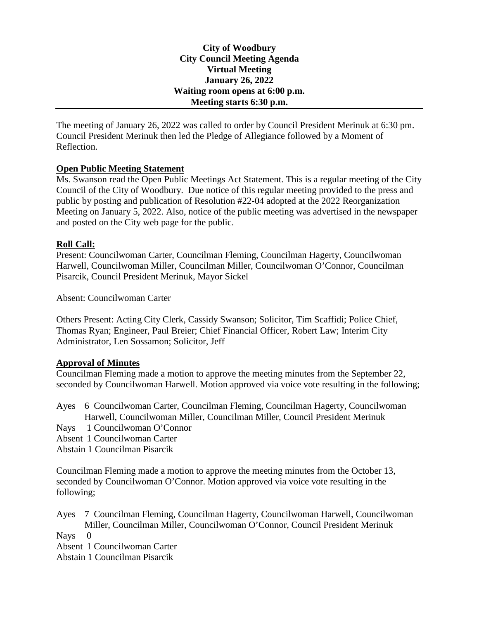**City of Woodbury City Council Meeting Agenda Virtual Meeting January 26, 2022 Waiting room opens at 6:00 p.m. Meeting starts 6:30 p.m.**

The meeting of January 26, 2022 was called to order by Council President Merinuk at 6:30 pm. Council President Merinuk then led the Pledge of Allegiance followed by a Moment of Reflection.

#### **Open Public Meeting Statement**

Ms. Swanson read the Open Public Meetings Act Statement. This is a regular meeting of the City Council of the City of Woodbury. Due notice of this regular meeting provided to the press and public by posting and publication of Resolution #22-04 adopted at the 2022 Reorganization Meeting on January 5, 2022. Also, notice of the public meeting was advertised in the newspaper and posted on the City web page for the public.

#### **Roll Call:**

Present: Councilwoman Carter, Councilman Fleming, Councilman Hagerty, Councilwoman Harwell, Councilwoman Miller, Councilman Miller, Councilwoman O'Connor, Councilman Pisarcik, Council President Merinuk, Mayor Sickel

Absent: Councilwoman Carter

Others Present: Acting City Clerk, Cassidy Swanson; Solicitor, Tim Scaffidi; Police Chief, Thomas Ryan; Engineer, Paul Breier; Chief Financial Officer, Robert Law; Interim City Administrator, Len Sossamon; Solicitor, Jeff

#### **Approval of Minutes**

Councilman Fleming made a motion to approve the meeting minutes from the September 22, seconded by Councilwoman Harwell. Motion approved via voice vote resulting in the following;

Ayes 6 Councilwoman Carter, Councilman Fleming, Councilman Hagerty, Councilwoman Harwell, Councilwoman Miller, Councilman Miller, Council President Merinuk

Nays 1 Councilwoman O'Connor

- Absent 1 Councilwoman Carter
- Abstain 1 Councilman Pisarcik

Councilman Fleming made a motion to approve the meeting minutes from the October 13, seconded by Councilwoman O'Connor. Motion approved via voice vote resulting in the following;

Ayes 7 Councilman Fleming, Councilman Hagerty, Councilwoman Harwell, Councilwoman Miller, Councilman Miller, Councilwoman O'Connor, Council President Merinuk

Nays 0

Absent 1 Councilwoman Carter

Abstain 1 Councilman Pisarcik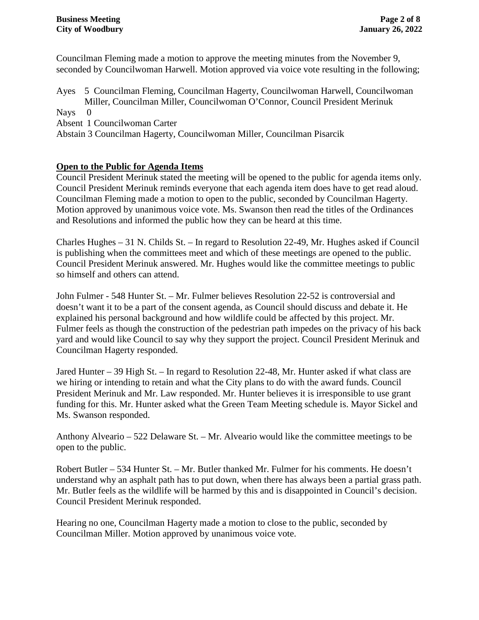Councilman Fleming made a motion to approve the meeting minutes from the November 9, seconded by Councilwoman Harwell. Motion approved via voice vote resulting in the following;

Ayes 5 Councilman Fleming, Councilman Hagerty, Councilwoman Harwell, Councilwoman Miller, Councilman Miller, Councilwoman O'Connor, Council President Merinuk Nays 0 Absent 1 Councilwoman Carter Abstain 3 Councilman Hagerty, Councilwoman Miller, Councilman Pisarcik

# **Open to the Public for Agenda Items**

Council President Merinuk stated the meeting will be opened to the public for agenda items only. Council President Merinuk reminds everyone that each agenda item does have to get read aloud. Councilman Fleming made a motion to open to the public, seconded by Councilman Hagerty. Motion approved by unanimous voice vote. Ms. Swanson then read the titles of the Ordinances and Resolutions and informed the public how they can be heard at this time.

Charles Hughes – 31 N. Childs St. – In regard to Resolution 22-49, Mr. Hughes asked if Council is publishing when the committees meet and which of these meetings are opened to the public. Council President Merinuk answered. Mr. Hughes would like the committee meetings to public so himself and others can attend.

John Fulmer - 548 Hunter St. – Mr. Fulmer believes Resolution 22-52 is controversial and doesn't want it to be a part of the consent agenda, as Council should discuss and debate it. He explained his personal background and how wildlife could be affected by this project. Mr. Fulmer feels as though the construction of the pedestrian path impedes on the privacy of his back yard and would like Council to say why they support the project. Council President Merinuk and Councilman Hagerty responded.

Jared Hunter – 39 High St. – In regard to Resolution 22-48, Mr. Hunter asked if what class are we hiring or intending to retain and what the City plans to do with the award funds. Council President Merinuk and Mr. Law responded. Mr. Hunter believes it is irresponsible to use grant funding for this. Mr. Hunter asked what the Green Team Meeting schedule is. Mayor Sickel and Ms. Swanson responded.

Anthony Alveario – 522 Delaware St. – Mr. Alveario would like the committee meetings to be open to the public.

Robert Butler – 534 Hunter St. – Mr. Butler thanked Mr. Fulmer for his comments. He doesn't understand why an asphalt path has to put down, when there has always been a partial grass path. Mr. Butler feels as the wildlife will be harmed by this and is disappointed in Council's decision. Council President Merinuk responded.

Hearing no one, Councilman Hagerty made a motion to close to the public, seconded by Councilman Miller. Motion approved by unanimous voice vote.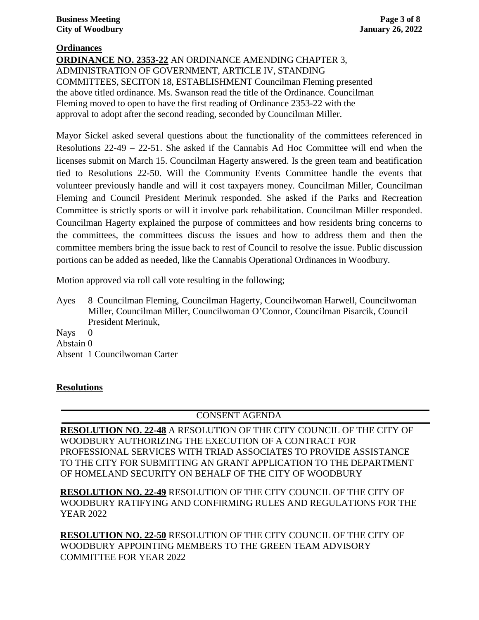# **Ordinances**

**ORDINANCE NO. 2353-22** AN ORDINANCE AMENDING CHAPTER 3, ADMINISTRATION OF GOVERNMENT, ARTICLE IV, STANDING COMMITTEES, SECITON 18, ESTABLISHMENT Councilman Fleming presented the above titled ordinance. Ms. Swanson read the title of the Ordinance. Councilman Fleming moved to open to have the first reading of Ordinance 2353-22 with the approval to adopt after the second reading, seconded by Councilman Miller.

Mayor Sickel asked several questions about the functionality of the committees referenced in Resolutions 22-49 – 22-51. She asked if the Cannabis Ad Hoc Committee will end when the licenses submit on March 15. Councilman Hagerty answered. Is the green team and beatification tied to Resolutions 22-50. Will the Community Events Committee handle the events that volunteer previously handle and will it cost taxpayers money. Councilman Miller, Councilman Fleming and Council President Merinuk responded. She asked if the Parks and Recreation Committee is strictly sports or will it involve park rehabilitation. Councilman Miller responded. Councilman Hagerty explained the purpose of committees and how residents bring concerns to the committees, the committees discuss the issues and how to address them and then the committee members bring the issue back to rest of Council to resolve the issue. Public discussion portions can be added as needed, like the Cannabis Operational Ordinances in Woodbury.

Motion approved via roll call vote resulting in the following;

Ayes 8 Councilman Fleming, Councilman Hagerty, Councilwoman Harwell, Councilwoman Miller, Councilman Miller, Councilwoman O'Connor, Councilman Pisarcik, Council President Merinuk,

Nays 0

Abstain 0

Absent 1 Councilwoman Carter

# **Resolutions**

# CONSENT AGENDA

**RESOLUTION NO. 22-48** A RESOLUTION OF THE CITY COUNCIL OF THE CITY OF WOODBURY AUTHORIZING THE EXECUTION OF A CONTRACT FOR PROFESSIONAL SERVICES WITH TRIAD ASSOCIATES TO PROVIDE ASSISTANCE TO THE CITY FOR SUBMITTING AN GRANT APPLICATION TO THE DEPARTMENT OF HOMELAND SECURITY ON BEHALF OF THE CITY OF WOODBURY

**RESOLUTION NO. 22-49** RESOLUTION OF THE CITY COUNCIL OF THE CITY OF WOODBURY RATIFYING AND CONFIRMING RULES AND REGULATIONS FOR THE YEAR 2022

**RESOLUTION NO. 22-50** RESOLUTION OF THE CITY COUNCIL OF THE CITY OF WOODBURY APPOINTING MEMBERS TO THE GREEN TEAM ADVISORY COMMITTEE FOR YEAR 2022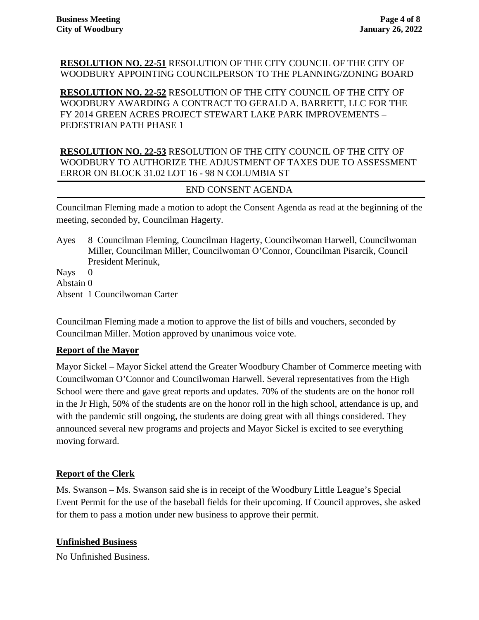# **RESOLUTION NO. 22-51** RESOLUTION OF THE CITY COUNCIL OF THE CITY OF WOODBURY APPOINTING COUNCILPERSON TO THE PLANNING/ZONING BOARD

**RESOLUTION NO. 22-52** RESOLUTION OF THE CITY COUNCIL OF THE CITY OF WOODBURY AWARDING A CONTRACT TO GERALD A. BARRETT, LLC FOR THE FY 2014 GREEN ACRES PROJECT STEWART LAKE PARK IMPROVEMENTS – PEDESTRIAN PATH PHASE 1

**RESOLUTION NO. 22-53** RESOLUTION OF THE CITY COUNCIL OF THE CITY OF WOODBURY TO AUTHORIZE THE ADJUSTMENT OF TAXES DUE TO ASSESSMENT ERROR ON BLOCK 31.02 LOT 16 - 98 N COLUMBIA ST

# END CONSENT AGENDA

Councilman Fleming made a motion to adopt the Consent Agenda as read at the beginning of the meeting, seconded by, Councilman Hagerty.

Ayes 8 Councilman Fleming, Councilman Hagerty, Councilwoman Harwell, Councilwoman Miller, Councilman Miller, Councilwoman O'Connor, Councilman Pisarcik, Council President Merinuk,

Nays 0 Abstain 0 Absent 1 Councilwoman Carter

Councilman Fleming made a motion to approve the list of bills and vouchers, seconded by Councilman Miller. Motion approved by unanimous voice vote.

# **Report of the Mayor**

Mayor Sickel – Mayor Sickel attend the Greater Woodbury Chamber of Commerce meeting with Councilwoman O'Connor and Councilwoman Harwell. Several representatives from the High School were there and gave great reports and updates. 70% of the students are on the honor roll in the Jr High, 50% of the students are on the honor roll in the high school, attendance is up, and with the pandemic still ongoing, the students are doing great with all things considered. They announced several new programs and projects and Mayor Sickel is excited to see everything moving forward.

# **Report of the Clerk**

Ms. Swanson – Ms. Swanson said she is in receipt of the Woodbury Little League's Special Event Permit for the use of the baseball fields for their upcoming. If Council approves, she asked for them to pass a motion under new business to approve their permit.

# **Unfinished Business**

No Unfinished Business.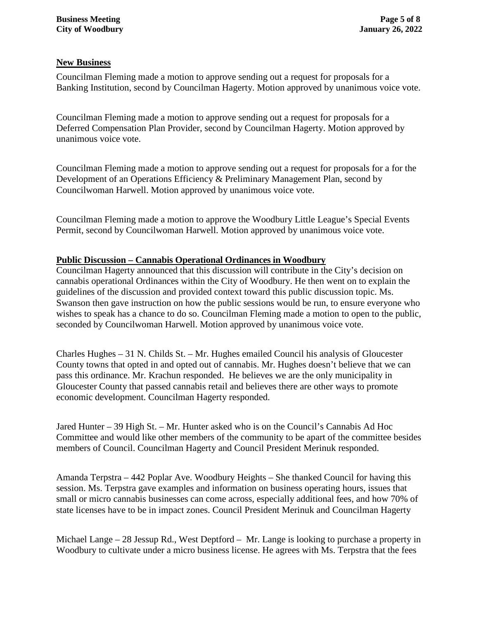#### **New Business**

Councilman Fleming made a motion to approve sending out a request for proposals for a Banking Institution, second by Councilman Hagerty. Motion approved by unanimous voice vote.

Councilman Fleming made a motion to approve sending out a request for proposals for a Deferred Compensation Plan Provider, second by Councilman Hagerty. Motion approved by unanimous voice vote.

Councilman Fleming made a motion to approve sending out a request for proposals for a for the Development of an Operations Efficiency & Preliminary Management Plan, second by Councilwoman Harwell. Motion approved by unanimous voice vote.

Councilman Fleming made a motion to approve the Woodbury Little League's Special Events Permit, second by Councilwoman Harwell. Motion approved by unanimous voice vote.

#### **Public Discussion – Cannabis Operational Ordinances in Woodbury**

Councilman Hagerty announced that this discussion will contribute in the City's decision on cannabis operational Ordinances within the City of Woodbury. He then went on to explain the guidelines of the discussion and provided context toward this public discussion topic. Ms. Swanson then gave instruction on how the public sessions would be run, to ensure everyone who wishes to speak has a chance to do so. Councilman Fleming made a motion to open to the public, seconded by Councilwoman Harwell. Motion approved by unanimous voice vote.

Charles Hughes – 31 N. Childs St. – Mr. Hughes emailed Council his analysis of Gloucester County towns that opted in and opted out of cannabis. Mr. Hughes doesn't believe that we can pass this ordinance. Mr. Krachun responded. He believes we are the only municipality in Gloucester County that passed cannabis retail and believes there are other ways to promote economic development. Councilman Hagerty responded.

Jared Hunter – 39 High St. – Mr. Hunter asked who is on the Council's Cannabis Ad Hoc Committee and would like other members of the community to be apart of the committee besides members of Council. Councilman Hagerty and Council President Merinuk responded.

Amanda Terpstra – 442 Poplar Ave. Woodbury Heights – She thanked Council for having this session. Ms. Terpstra gave examples and information on business operating hours, issues that small or micro cannabis businesses can come across, especially additional fees, and how 70% of state licenses have to be in impact zones. Council President Merinuk and Councilman Hagerty

Michael Lange – 28 Jessup Rd., West Deptford – Mr. Lange is looking to purchase a property in Woodbury to cultivate under a micro business license. He agrees with Ms. Terpstra that the fees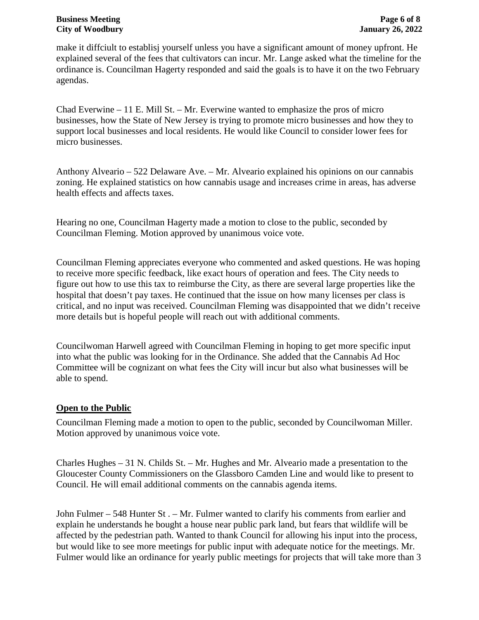make it diffciult to establisj yourself unless you have a significant amount of money upfront. He explained several of the fees that cultivators can incur. Mr. Lange asked what the timeline for the ordinance is. Councilman Hagerty responded and said the goals is to have it on the two February agendas.

Chad Everwine – 11 E. Mill St. – Mr. Everwine wanted to emphasize the pros of micro businesses, how the State of New Jersey is trying to promote micro businesses and how they to support local businesses and local residents. He would like Council to consider lower fees for micro businesses.

Anthony Alveario – 522 Delaware Ave. – Mr. Alveario explained his opinions on our cannabis zoning. He explained statistics on how cannabis usage and increases crime in areas, has adverse health effects and affects taxes.

Hearing no one, Councilman Hagerty made a motion to close to the public, seconded by Councilman Fleming. Motion approved by unanimous voice vote.

Councilman Fleming appreciates everyone who commented and asked questions. He was hoping to receive more specific feedback, like exact hours of operation and fees. The City needs to figure out how to use this tax to reimburse the City, as there are several large properties like the hospital that doesn't pay taxes. He continued that the issue on how many licenses per class is critical, and no input was received. Councilman Fleming was disappointed that we didn't receive more details but is hopeful people will reach out with additional comments.

Councilwoman Harwell agreed with Councilman Fleming in hoping to get more specific input into what the public was looking for in the Ordinance. She added that the Cannabis Ad Hoc Committee will be cognizant on what fees the City will incur but also what businesses will be able to spend.

# **Open to the Public**

Councilman Fleming made a motion to open to the public, seconded by Councilwoman Miller. Motion approved by unanimous voice vote.

Charles Hughes – 31 N. Childs St. – Mr. Hughes and Mr. Alveario made a presentation to the Gloucester County Commissioners on the Glassboro Camden Line and would like to present to Council. He will email additional comments on the cannabis agenda items.

John Fulmer – 548 Hunter St . – Mr. Fulmer wanted to clarify his comments from earlier and explain he understands he bought a house near public park land, but fears that wildlife will be affected by the pedestrian path. Wanted to thank Council for allowing his input into the process, but would like to see more meetings for public input with adequate notice for the meetings. Mr. Fulmer would like an ordinance for yearly public meetings for projects that will take more than 3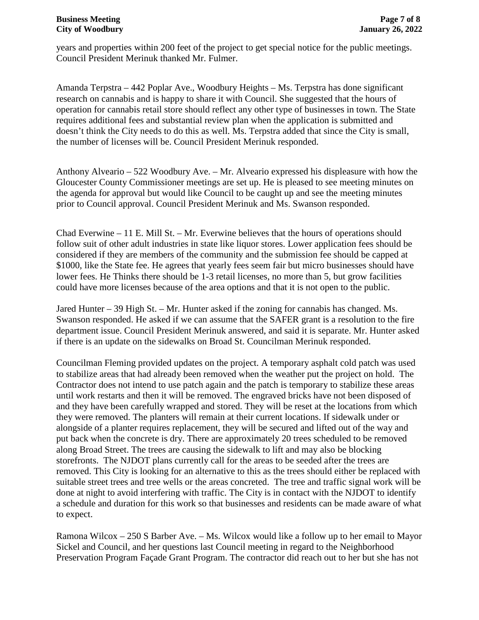years and properties within 200 feet of the project to get special notice for the public meetings. Council President Merinuk thanked Mr. Fulmer.

Amanda Terpstra – 442 Poplar Ave., Woodbury Heights – Ms. Terpstra has done significant research on cannabis and is happy to share it with Council. She suggested that the hours of operation for cannabis retail store should reflect any other type of businesses in town. The State requires additional fees and substantial review plan when the application is submitted and doesn't think the City needs to do this as well. Ms. Terpstra added that since the City is small, the number of licenses will be. Council President Merinuk responded.

Anthony Alveario – 522 Woodbury Ave. – Mr. Alveario expressed his displeasure with how the Gloucester County Commissioner meetings are set up. He is pleased to see meeting minutes on the agenda for approval but would like Council to be caught up and see the meeting minutes prior to Council approval. Council President Merinuk and Ms. Swanson responded.

Chad Everwine – 11 E. Mill St. – Mr. Everwine believes that the hours of operations should follow suit of other adult industries in state like liquor stores. Lower application fees should be considered if they are members of the community and the submission fee should be capped at \$1000, like the State fee. He agrees that yearly fees seem fair but micro businesses should have lower fees. He Thinks there should be 1-3 retail licenses, no more than 5, but grow facilities could have more licenses because of the area options and that it is not open to the public.

Jared Hunter – 39 High St. – Mr. Hunter asked if the zoning for cannabis has changed. Ms. Swanson responded. He asked if we can assume that the SAFER grant is a resolution to the fire department issue. Council President Merinuk answered, and said it is separate. Mr. Hunter asked if there is an update on the sidewalks on Broad St. Councilman Merinuk responded.

Councilman Fleming provided updates on the project. A temporary asphalt cold patch was used to stabilize areas that had already been removed when the weather put the project on hold. The Contractor does not intend to use patch again and the patch is temporary to stabilize these areas until work restarts and then it will be removed. The engraved bricks have not been disposed of and they have been carefully wrapped and stored. They will be reset at the locations from which they were removed. The planters will remain at their current locations. If sidewalk under or alongside of a planter requires replacement, they will be secured and lifted out of the way and put back when the concrete is dry. There are approximately 20 trees scheduled to be removed along Broad Street. The trees are causing the sidewalk to lift and may also be blocking storefronts. The NJDOT plans currently call for the areas to be seeded after the trees are removed. This City is looking for an alternative to this as the trees should either be replaced with suitable street trees and tree wells or the areas concreted. The tree and traffic signal work will be done at night to avoid interfering with traffic. The City is in contact with the NJDOT to identify a schedule and duration for this work so that businesses and residents can be made aware of what to expect.

Ramona Wilcox – 250 S Barber Ave. – Ms. Wilcox would like a follow up to her email to Mayor Sickel and Council, and her questions last Council meeting in regard to the Neighborhood Preservation Program Façade Grant Program. The contractor did reach out to her but she has not